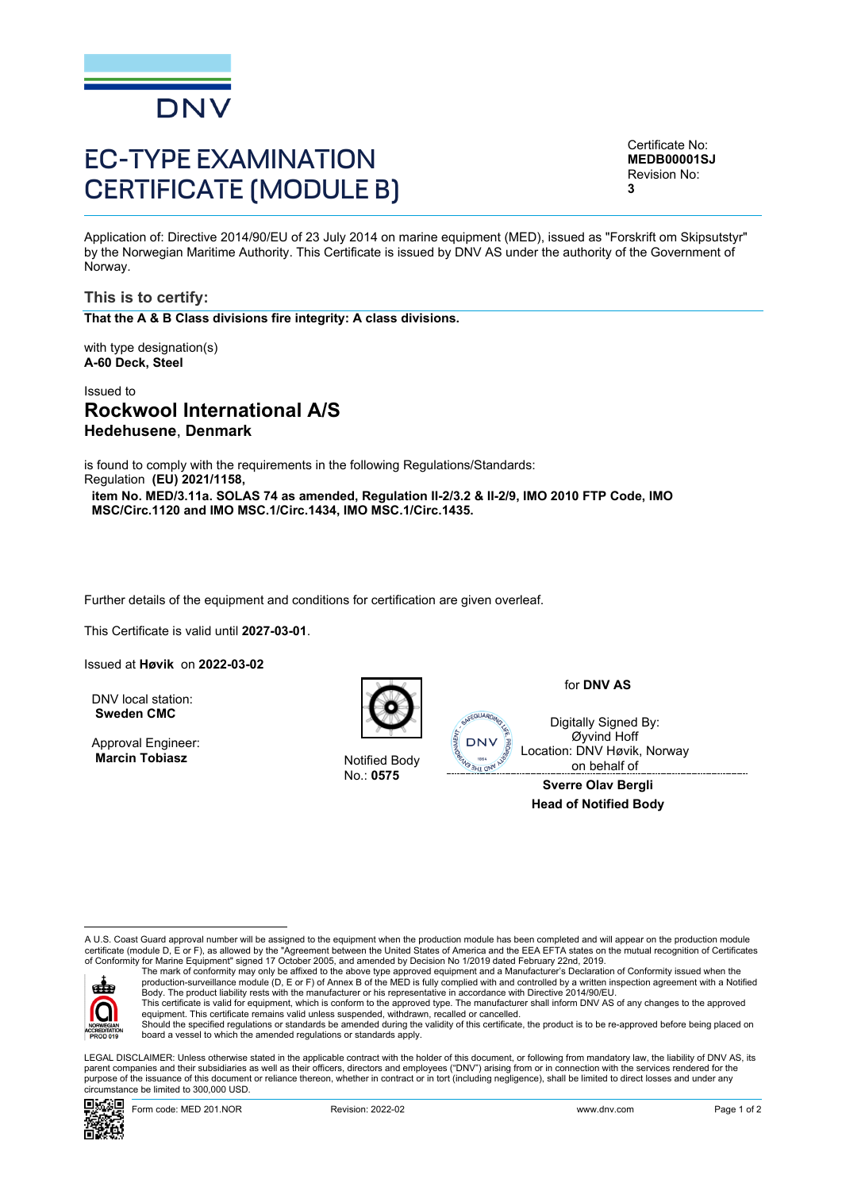

# EC-TYPE EXAMINATION CERTIFICATE (MODULE B)

<span id="page-0-3"></span><span id="page-0-2"></span><span id="page-0-1"></span>Certificate No: **MEDB00001SJ** Revision No: **3**

<span id="page-0-0"></span>Application of: Directive 2014/90/EU of 23 July 2014 on marine equipment (MED), issued as "Forskrift om Skipsutstyr" by the Norwegian Maritime Authority. This Certificate is issued by DNV AS under the authority of the Government of Norway.

**This is to certify:**

**That the A & B Class divisions fire integrity: A class divisions.**

with type designation(s) **A-60 Deck, Steel**

# Issued to **Rockwool International A/S Hedehusene**, **Denmark**

is found to comply with the requirements in the following Regulations/Standards: Regulation **(EU) 2021/1158,**

**item No. MED/3.11a. SOLAS 74 as amended, Regulation II-2/3.2 & II-2/9, IMO 2010 FTP Code, IMO MSC/Circ.1120 and IMO MSC.1/Circ.1434, IMO MSC.1/Circ.1435.**

Further details of the equipment and conditions for certification are given overleaf.

This Certificate is valid until **2027-03-01**.

Issued at **Høvik** on **2022-03-02**

DNV local station: **Sweden CMC**

Approval Engineer: **Marcin Tobiasz Notified Body** 



No.: **0575**

for **DNV AS**

Digitally Signed By: Øyvind Hoff Location: DNV Høvik, Norway on behalf of

**Sverre Olav Bergli Head of Notified Body**

A U.S. Coast Guard approval number will be assigned to the equipment when the production module has been completed and will appear on the production module<br>certificate (module D, E or F), as allowed by the "Agreement betwe of Conformity for Marine Equipment" signed 17 October 2005, and amended by Decision No 1/2019 dated February 22nd, 2019.



The mark of conformity may only be affixed to the above type approved equipment and a Manufacturer's Declaration of Conformity issued when the<br>production-surveillance module (D, E or F) of Annex B of the MED is fully compl Body. The product liability rests with the manufacturer or his representative in accordance with Directive 2014/90/EU. This certificate is valid for equipment, which is conform to the approved type. The manufacturer shall inform DNV AS of any changes to the approved<br>equipment. This certificate remains valid unless suspended, withdrawn, rec

Should the specified regulations or standards be amended during the validity of this certificate, the product is to be re-approved before being placed on board a vessel to which the amended regulations or standards apply.

 LEGAL DISCLAIMER: Unless otherwise stated in the applicable contract with the holder of this document, or following from mandatory law, the liability of DNV AS, its parent companies and their subsidiaries as well as their officers, directors and employees ("DNV") arising from or in connection with the services rendered for the purpose of the issuance of this document or reliance thereon, whether in contract or in tort (including negligence), shall be limited to direct losses and under any circumstance be limited to 300,000 USD.